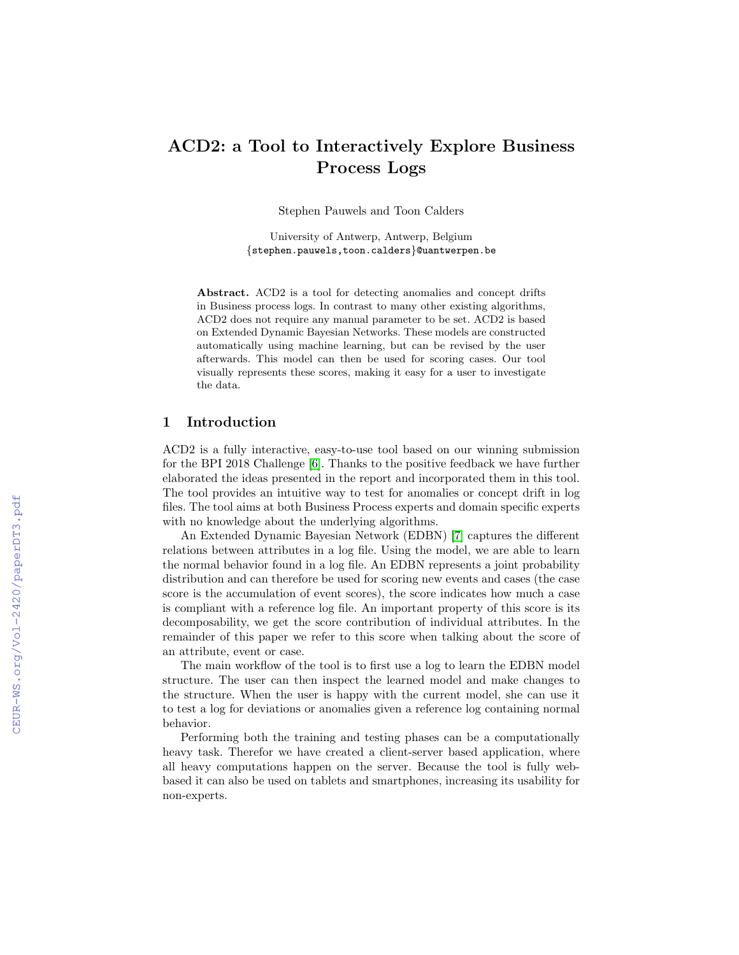# ACD2: a Tool to Interactively Explore Business Process Logs

Stephen Pauwels and Toon Calders

University of Antwerp, Antwerp, Belgium {stephen.pauwels,toon.calders}@uantwerpen.be

Abstract. ACD2 is a tool for detecting anomalies and concept drifts in Business process logs. In contrast to many other existing algorithms, ACD2 does not require any manual parameter to be set. ACD2 is based on Extended Dynamic Bayesian Networks. These models are constructed automatically using machine learning, but can be revised by the user afterwards. This model can then be used for scoring cases. Our tool visually represents these scores, making it easy for a user to investigate the data.

#### 1 Introduction

ACD2 is a fully interactive, easy-to-use tool based on our winning submission for the BPI 2018 Challenge [\[6\]](#page--1-0). Thanks to the positive feedback we have further elaborated the ideas presented in the report and incorporated them in this tool. The tool provides an intuitive way to test for anomalies or concept drift in log files. The tool aims at both Business Process experts and domain specific experts with no knowledge about the underlying algorithms.

An Extended Dynamic Bayesian Network (EDBN) [\[7\]](#page--1-1) captures the different relations between attributes in a log file. Using the model, we are able to learn the normal behavior found in a log file. An EDBN represents a joint probability distribution and can therefore be used for scoring new events and cases (the case score is the accumulation of event scores), the score indicates how much a case is compliant with a reference log file. An important property of this score is its decomposability, we get the score contribution of individual attributes. In the remainder of this paper we refer to this score when talking about the score of an attribute, event or case.

The main workflow of the tool is to first use a log to learn the EDBN model structure. The user can then inspect the learned model and make changes to the structure. When the user is happy with the current model, she can use it to test a log for deviations or anomalies given a reference log containing normal behavior.

Performing both the training and testing phases can be a computationally heavy task. Therefor we have created a client-server based application, where all heavy computations happen on the server. Because the tool is fully webbased it can also be used on tablets and smartphones, increasing its usability for non-experts.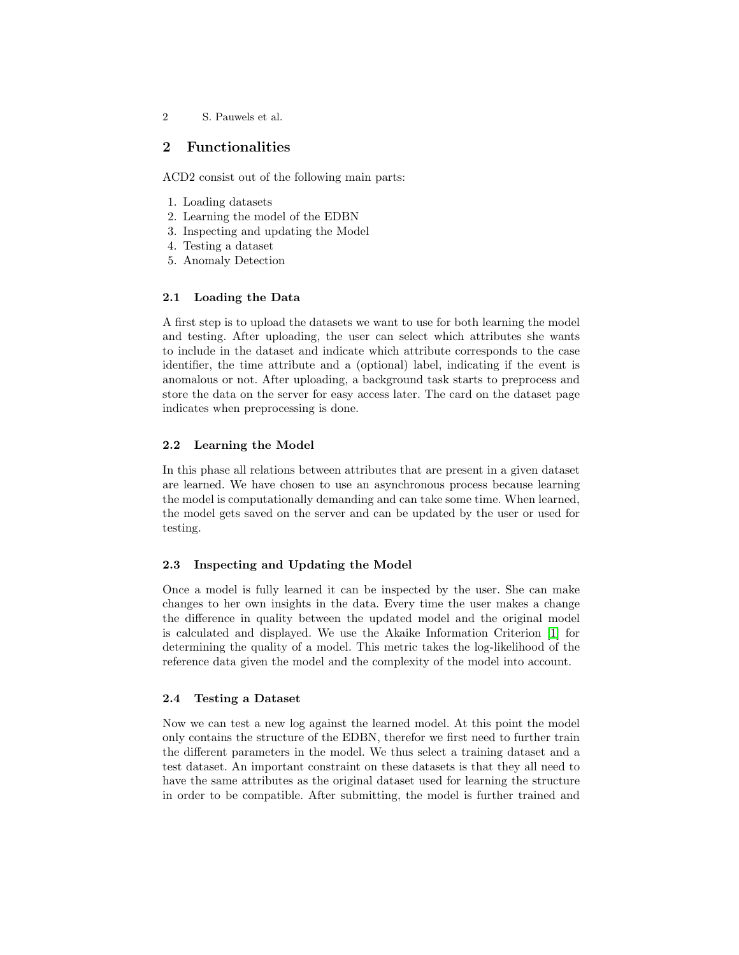2 S. Pauwels et al.

## 2 Functionalities

ACD2 consist out of the following main parts:

- 1. Loading datasets
- 2. Learning the model of the EDBN
- 3. Inspecting and updating the Model
- 4. Testing a dataset
- 5. Anomaly Detection

## 2.1 Loading the Data

A first step is to upload the datasets we want to use for both learning the model and testing. After uploading, the user can select which attributes she wants to include in the dataset and indicate which attribute corresponds to the case identifier, the time attribute and a (optional) label, indicating if the event is anomalous or not. After uploading, a background task starts to preprocess and store the data on the server for easy access later. The card on the dataset page indicates when preprocessing is done.

#### 2.2 Learning the Model

In this phase all relations between attributes that are present in a given dataset are learned. We have chosen to use an asynchronous process because learning the model is computationally demanding and can take some time. When learned, the model gets saved on the server and can be updated by the user or used for testing.

#### 2.3 Inspecting and Updating the Model

Once a model is fully learned it can be inspected by the user. She can make changes to her own insights in the data. Every time the user makes a change the difference in quality between the updated model and the original model is calculated and displayed. We use the Akaike Information Criterion [\[1\]](#page-4-0) for determining the quality of a model. This metric takes the log-likelihood of the reference data given the model and the complexity of the model into account.

#### 2.4 Testing a Dataset

Now we can test a new log against the learned model. At this point the model only contains the structure of the EDBN, therefor we first need to further train the different parameters in the model. We thus select a training dataset and a test dataset. An important constraint on these datasets is that they all need to have the same attributes as the original dataset used for learning the structure in order to be compatible. After submitting, the model is further trained and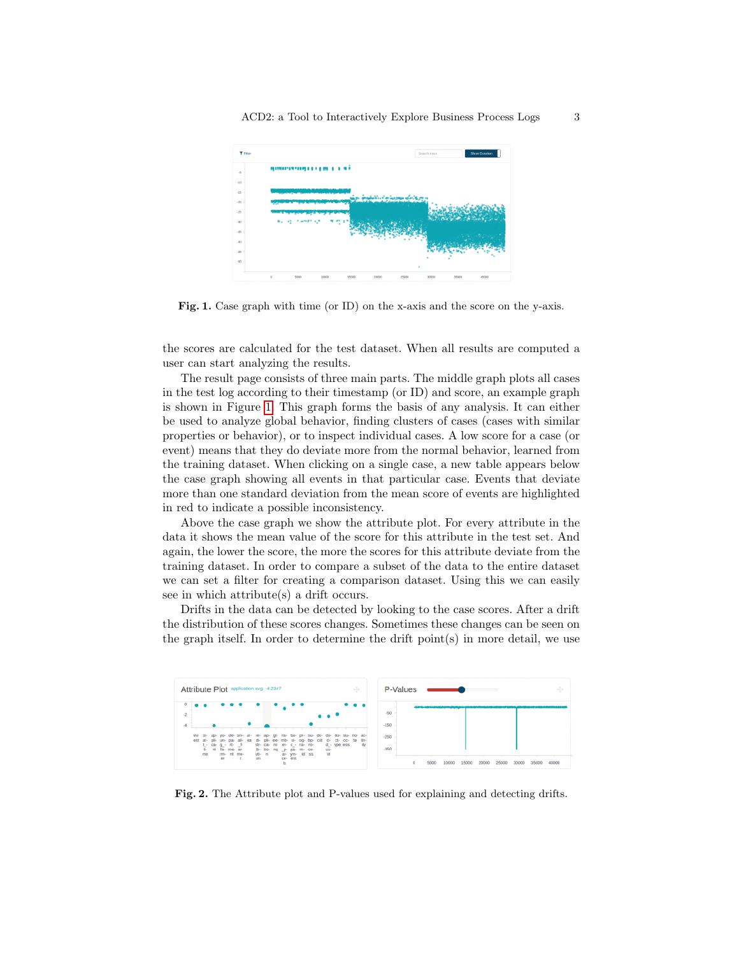

<span id="page-2-0"></span>Fig. 1. Case graph with time (or ID) on the x-axis and the score on the y-axis.

the scores are calculated for the test dataset. When all results are computed a user can start analyzing the results.

The result page consists of three main parts. The middle graph plots all cases in the test log according to their timestamp (or ID) and score, an example graph is shown in Figure [1.](#page-2-0) This graph forms the basis of any analysis. It can either be used to analyze global behavior, finding clusters of cases (cases with similar properties or behavior), or to inspect individual cases. A low score for a case (or event) means that they do deviate more from the normal behavior, learned from the training dataset. When clicking on a single case, a new table appears below the case graph showing all events in that particular case. Events that deviate more than one standard deviation from the mean score of events are highlighted in red to indicate a possible inconsistency.

Above the case graph we show the attribute plot. For every attribute in the data it shows the mean value of the score for this attribute in the test set. And again, the lower the score, the more the scores for this attribute deviate from the training dataset. In order to compare a subset of the data to the entire dataset we can set a filter for creating a comparison dataset. Using this we can easily see in which attribute(s) a drift occurs.

Drifts in the data can be detected by looking to the case scores. After a drift the distribution of these scores changes. Sometimes these changes can be seen on the graph itself. In order to determine the drift point(s) in more detail, we use



<span id="page-2-1"></span>Fig. 2. The Attribute plot and P-values used for explaining and detecting drifts.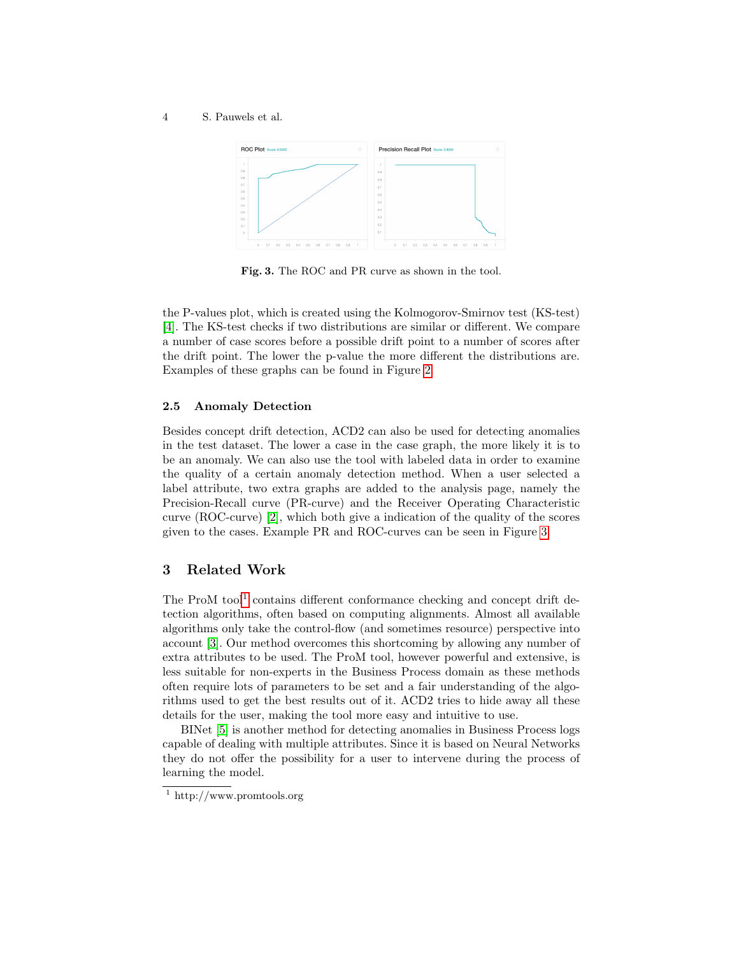#### 4 S. Pauwels et al.



<span id="page-3-0"></span>Fig. 3. The ROC and PR curve as shown in the tool.

the P-values plot, which is created using the Kolmogorov-Smirnov test (KS-test) [\[4\]](#page-4-1). The KS-test checks if two distributions are similar or different. We compare a number of case scores before a possible drift point to a number of scores after the drift point. The lower the p-value the more different the distributions are. Examples of these graphs can be found in Figure [2.](#page-2-1)

#### 2.5 Anomaly Detection

Besides concept drift detection, ACD2 can also be used for detecting anomalies in the test dataset. The lower a case in the case graph, the more likely it is to be an anomaly. We can also use the tool with labeled data in order to examine the quality of a certain anomaly detection method. When a user selected a label attribute, two extra graphs are added to the analysis page, namely the Precision-Recall curve (PR-curve) and the Receiver Operating Characteristic curve (ROC-curve) [\[2\]](#page-4-2), which both give a indication of the quality of the scores given to the cases. Example PR and ROC-curves can be seen in Figure [3.](#page-3-0)

## 3 Related Work

The ProM tool<sup>[1](#page-3-1)</sup> contains different conformance checking and concept drift detection algorithms, often based on computing alignments. Almost all available algorithms only take the control-flow (and sometimes resource) perspective into account [\[3\]](#page-4-3). Our method overcomes this shortcoming by allowing any number of extra attributes to be used. The ProM tool, however powerful and extensive, is less suitable for non-experts in the Business Process domain as these methods often require lots of parameters to be set and a fair understanding of the algorithms used to get the best results out of it. ACD2 tries to hide away all these details for the user, making the tool more easy and intuitive to use.

BINet [\[5\]](#page-4-4) is another method for detecting anomalies in Business Process logs capable of dealing with multiple attributes. Since it is based on Neural Networks they do not offer the possibility for a user to intervene during the process of learning the model.

<span id="page-3-1"></span><sup>1</sup> http://www.promtools.org